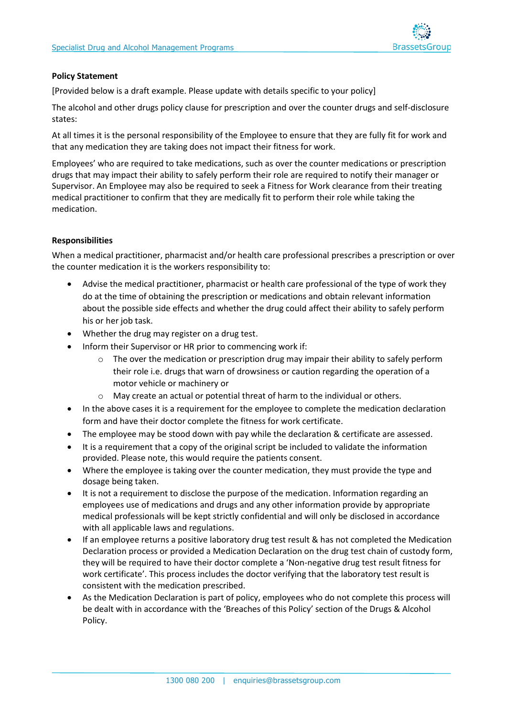

### **Policy Statement**

[Provided below is a draft example. Please update with details specific to your policy]

The alcohol and other drugs policy clause for prescription and over the counter drugs and self-disclosure states:

At all times it is the personal responsibility of the Employee to ensure that they are fully fit for work and that any medication they are taking does not impact their fitness for work.

Employees' who are required to take medications, such as over the counter medications or prescription drugs that may impact their ability to safely perform their role are required to notify their manager or Supervisor. An Employee may also be required to seek a Fitness for Work clearance from their treating medical practitioner to confirm that they are medically fit to perform their role while taking the medication.

# **Responsibilities**

When a medical practitioner, pharmacist and/or health care professional prescribes a prescription or over the counter medication it is the workers responsibility to:

- Advise the medical practitioner, pharmacist or health care professional of the type of work they do at the time of obtaining the prescription or medications and obtain relevant information about the possible side effects and whether the drug could affect their ability to safely perform his or her job task.
- Whether the drug may register on a drug test.
- Inform their Supervisor or HR prior to commencing work if:
	- $\circ$  The over the medication or prescription drug may impair their ability to safely perform their role i.e. drugs that warn of drowsiness or caution regarding the operation of a motor vehicle or machinery or
	- o May create an actual or potential threat of harm to the individual or others.
- In the above cases it is a requirement for the employee to complete the medication declaration form and have their doctor complete the fitness for work certificate.
- The employee may be stood down with pay while the declaration & certificate are assessed.
- It is a requirement that a copy of the original script be included to validate the information provided. Please note, this would require the patients consent.
- Where the employee is taking over the counter medication, they must provide the type and dosage being taken.
- It is not a requirement to disclose the purpose of the medication. Information regarding an employees use of medications and drugs and any other information provide by appropriate medical professionals will be kept strictly confidential and will only be disclosed in accordance with all applicable laws and regulations.
- If an employee returns a positive laboratory drug test result & has not completed the Medication Declaration process or provided a Medication Declaration on the drug test chain of custody form, they will be required to have their doctor complete a 'Non-negative drug test result fitness for work certificate'. This process includes the doctor verifying that the laboratory test result is consistent with the medication prescribed.
- As the Medication Declaration is part of policy, employees who do not complete this process will be dealt with in accordance with the 'Breaches of this Policy' section of the Drugs & Alcohol Policy.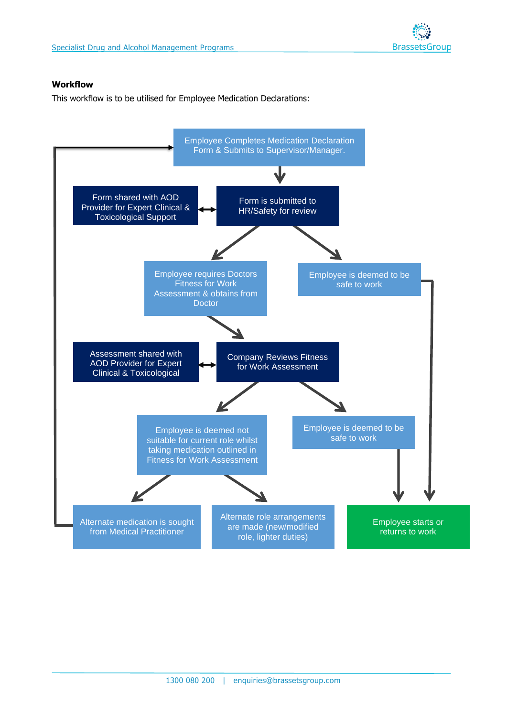# **Workflow**

This workflow is to be utilised for Employee Medication Declarations:

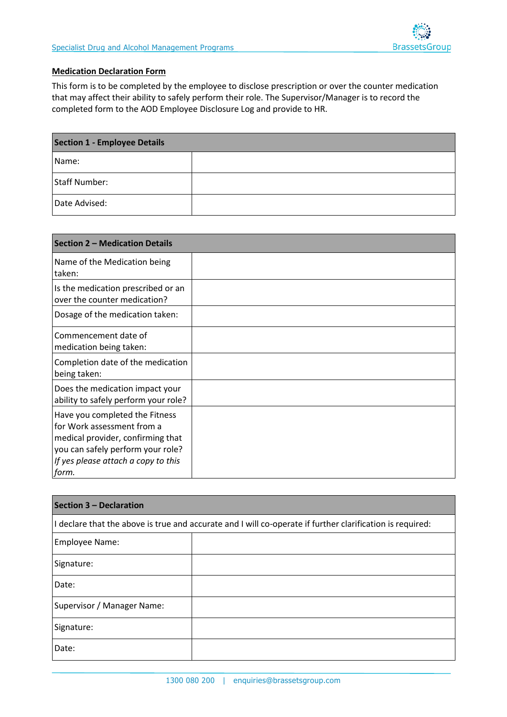# **Medication Declaration Form**

This form is to be completed by the employee to disclose prescription or over the counter medication that may affect their ability to safely perform their role. The Supervisor/Manager is to record the completed form to the AOD Employee Disclosure Log and provide to HR.

| <b>Section 1 - Employee Details</b> |  |  |
|-------------------------------------|--|--|
| Name:                               |  |  |
| Staff Number:                       |  |  |
| Date Advised:                       |  |  |

| Section 2 - Medication Details                                                                                                                                                         |  |
|----------------------------------------------------------------------------------------------------------------------------------------------------------------------------------------|--|
| Name of the Medication being<br>taken:                                                                                                                                                 |  |
| Is the medication prescribed or an<br>over the counter medication?                                                                                                                     |  |
| Dosage of the medication taken:                                                                                                                                                        |  |
| Commencement date of<br>medication being taken:                                                                                                                                        |  |
| Completion date of the medication<br>being taken:                                                                                                                                      |  |
| Does the medication impact your<br>ability to safely perform your role?                                                                                                                |  |
| Have you completed the Fitness<br>for Work assessment from a<br>medical provider, confirming that<br>you can safely perform your role?<br>If yes please attach a copy to this<br>form. |  |

| Section 3 - Declaration                                                                                   |  |  |  |
|-----------------------------------------------------------------------------------------------------------|--|--|--|
| I declare that the above is true and accurate and I will co-operate if further clarification is required: |  |  |  |
| Employee Name:                                                                                            |  |  |  |
| Signature:                                                                                                |  |  |  |
| Date:                                                                                                     |  |  |  |
| Supervisor / Manager Name:                                                                                |  |  |  |
| Signature:                                                                                                |  |  |  |
| Date:                                                                                                     |  |  |  |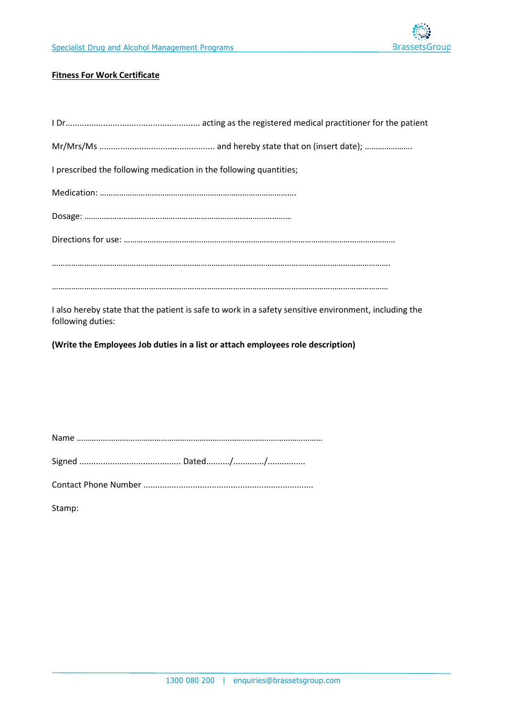## **Fitness For Work Certificate**

| I prescribed the following medication in the following quantities; |
|--------------------------------------------------------------------|
|                                                                    |
|                                                                    |
|                                                                    |
|                                                                    |
|                                                                    |
|                                                                    |

I also hereby state that the patient is safe to work in a safety sensitive environment, including the following duties:

**(Write the Employees Job duties in a list or attach employees role description)** 

Name ……………………………………………………………………………………………………

Signed ........................................... Dated........../............./................

Contact Phone Number ........................................................................

Stamp: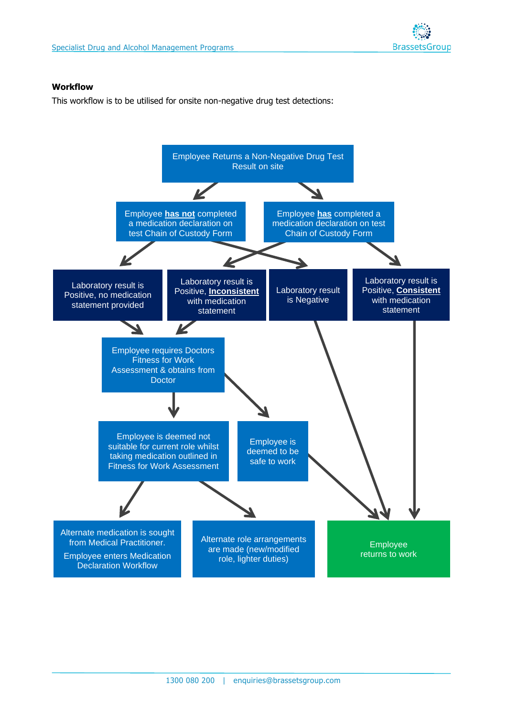

#### **Workflow**

This workflow is to be utilised for onsite non-negative drug test detections: